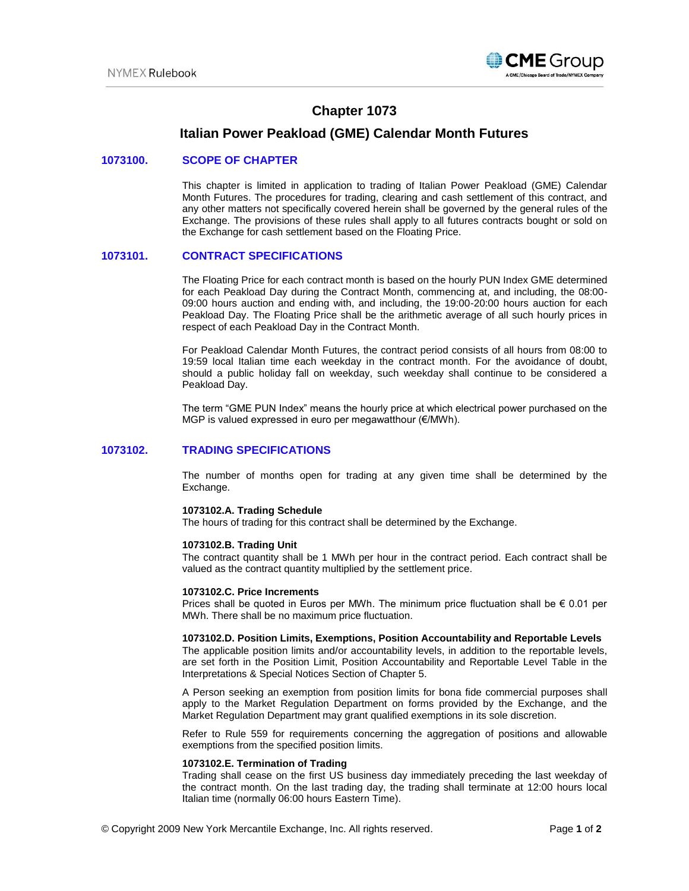

# **Chapter 1073**

# **Italian Power Peakload (GME) Calendar Month Futures**

### **1073100. SCOPE OF CHAPTER**

This chapter is limited in application to trading of Italian Power Peakload (GME) Calendar Month Futures. The procedures for trading, clearing and cash settlement of this contract, and any other matters not specifically covered herein shall be governed by the general rules of the Exchange. The provisions of these rules shall apply to all futures contracts bought or sold on the Exchange for cash settlement based on the Floating Price.

# **1073101. CONTRACT SPECIFICATIONS**

The Floating Price for each contract month is based on the hourly PUN Index GME determined for each Peakload Day during the Contract Month, commencing at, and including, the 08:00- 09:00 hours auction and ending with, and including, the 19:00-20:00 hours auction for each Peakload Day. The Floating Price shall be the arithmetic average of all such hourly prices in respect of each Peakload Day in the Contract Month.

For Peakload Calendar Month Futures, the contract period consists of all hours from 08:00 to 19:59 local Italian time each weekday in the contract month. For the avoidance of doubt, should a public holiday fall on weekday, such weekday shall continue to be considered a Peakload Day.

The term "GME PUN Index" means the hourly price at which electrical power purchased on the MGP is valued expressed in euro per megawatthour (€/MWh).

# **1073102. TRADING SPECIFICATIONS**

The number of months open for trading at any given time shall be determined by the Exchange.

#### **1073102.A. Trading Schedule**

The hours of trading for this contract shall be determined by the Exchange.

#### **1073102.B. Trading Unit**

The contract quantity shall be 1 MWh per hour in the contract period. Each contract shall be valued as the contract quantity multiplied by the settlement price.

### **1073102.C. Price Increments**

Prices shall be quoted in Euros per MWh. The minimum price fluctuation shall be  $\epsilon$  0.01 per MWh. There shall be no maximum price fluctuation.

#### **1073102.D. Position Limits, Exemptions, Position Accountability and Reportable Levels**

The applicable position limits and/or accountability levels, in addition to the reportable levels, are set forth in the Position Limit, Position Accountability and Reportable Level Table in the Interpretations & Special Notices Section of Chapter 5.

A Person seeking an exemption from position limits for bona fide commercial purposes shall apply to the Market Regulation Department on forms provided by the Exchange, and the Market Regulation Department may grant qualified exemptions in its sole discretion.

Refer to Rule 559 for requirements concerning the aggregation of positions and allowable exemptions from the specified position limits.

#### **1073102.E. Termination of Trading**

Trading shall cease on the first US business day immediately preceding the last weekday of the contract month. On the last trading day, the trading shall terminate at 12:00 hours local Italian time (normally 06:00 hours Eastern Time).